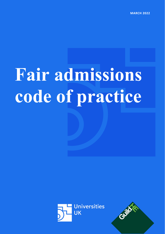**MARCH 2022**

# **Fair admissions code of practice**



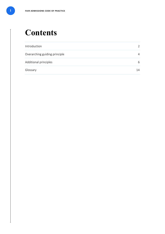# **Contents**

| Introduction                  | $\mathcal{P}$ |
|-------------------------------|---------------|
| Overarching guiding principle | 4             |
| Additional principles         | 6             |
| Glossary                      | 14            |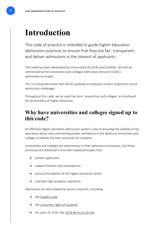# <span id="page-2-0"></span>**Introduction**

This code of practice is intended to guide higher education admissions practices to ensure that they are fair, transparent, and deliver admissions in the interest of applicants.

This code has been developed by Universities UK (UUK) and GuildHE, and will be referenced by the Universities and Colleges Admissions Service (UCAS)'s admissions principles.

This is a living document that will be updated as necessary to best respond to future admissions challenges.

Throughout this code, we've used the term 'universities and colleges' as shorthand for all providers of higher education.

# **Why have universities and colleges signed up to this code?**

An effective higher education admissions system is key to ensuring the stability of the education sector and commanding public confidence in the ability of universities and colleges to deliver the best outcomes for students.

Universities and colleges are autonomous in their admissions processes, but these processes are delivered in line with shared principles that:

- protect applicants
- support fairness and transparency
- ensure the stability of the higher education sector
- maintain high academic standards

Admissions are also shaped by various channels, including:

- the Quality Code
- the [consumer rights of students](https://assets.publishing.service.gov.uk/government/uploads/system/uploads/attachment_data/file/415732/Undergraduate_students_-_your_rights_under_consumer_law.pdf)
- for users of UCAS, the [UCAS terms of service](https://www.ucas.com/sites/default/files/ucas-undergraduate-terms-of-service.pdf)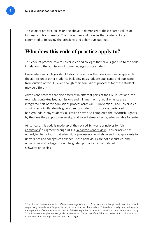$\overline{\phantom{a}}$  , which is the contract of the contract of  $\overline{\phantom{a}}$ 

This code of practice builds on the above to demonstrate these shared values of fairness and transparency. The universities and colleges that abide by it are committed to following the principles and behaviours outlined.

#### **Who does this code of practice apply to?**

This code of practice covers universities and colleges that have signed up to the code in relation to the admission of home undergraduate students.<sup>[1](#page-3-0)</sup>

Universities and colleges should also consider how the principles can be applied to the admission of other students, including postgraduate applicants and applicants from outside of the UK, even though their admissions processes for these students may be different.

Admissions practices are also different in different parts of the UK. In Scotland, for example, contextualised admissions and minimum entry requirements are an integrated part of the admissions process across all 18 universities, and universities administer a Scotland-wide guarantee for students from care-experienced backgrounds. Many students in Scotland have also completed their Scottish Highers by the time they apply to university, and so will already hold grades suitable for entry.

At its heart, this code is made up of the revised [Schwartz principles for fair](https://dera.ioe.ac.uk/5284/1/finalreport.pdf)  [admissions](https://dera.ioe.ac.uk/5284/1/finalreport.pdf)<sup>[2](#page-3-1)</sup> as agreed through UUK's [Fair admissions review.](https://www.universitiesuk.ac.uk/sites/default/files/field/downloads/2021-08/uuk-fair-admissions-review.pdf) Each principle has underlying behaviours that admissions processes should show and that applicants to universities and colleges can expect. These behaviours are not exhaustive, and universities and colleges should be guided primarily by the updated Schwartz principles.

<span id="page-3-1"></span><span id="page-3-0"></span><sup>&</sup>lt;sup>1</sup> The phrase 'home students' has different meanings for the UK's four nations, applying in each case directly and respectively to students in England, Wales, Scotland, and Northern Ireland. This code is broadly intended to cover the experience of students from all nations of the UK, regardless of in which part of the country they are studying. <sup>2</sup> The Schwartz principles were originally developed in 2004 as part of the Schwartz review of 'Fair admissions to higher education' for English universities and colleges.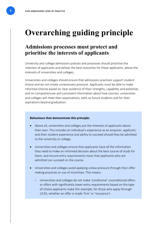# <span id="page-4-0"></span>**Overarching guiding principle**

### **Admissions processes must protect and prioritise the interests of applicants**

University and college admissions policies and processes should prioritise the interests of applicants and deliver the best outcomes for these applicants, above the interests of universities and colleges.

Universities and colleges should ensure that admissions practices support student choice and do not create unnecessary pressure. Applicants must be able to make informed choices based on clear evidence of their strengths, capability and potential, and on comprehensive and consistent information about how courses, universities and colleges will meet their expectations, both as future students and for their aspirations beyond graduation.

- Above all, universities and colleges put the interests of applicants above their own. This includes an individual's experience as an enquirer, applicant, and their student experience and ability to succeed should they be admitted to the university or college.
- Universities and colleges ensure that applicants have all the information they need to make an informed decision about the best course of study for them, and ensure entry requirements mean that applicants who are admitted can succeed on the course.
- Universities and colleges avoid applying undue pressure through their offer making practices or use of incentives. This means:
	- Universities and colleges do not make 'conditional' unconditional offers or offers with significantly lower entry requirements based on the type of choice applicants make (for example, for those who apply through UCAS, whether an offer is made 'firm' or 'insurance').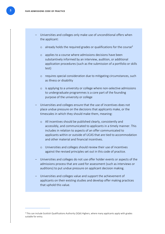- Universities and colleges only make use of unconditional offers when the applicant:
	- $\circ$  already holds the required grades or qualifications for the course<sup>3</sup>
	- o applies to a course where admissions decisions have been substantively informed by an interview, audition, or additional application procedures (such as the submission of a portfolio or skills test)
	- o requires special consideration due to mitigating circumstances, such as illness or disability
	- o is applying to a university or college where non-selective admissions to undergraduate programmes is a core part of the founding purpose of the university or college
- Universities and colleges ensure that the use of incentives does not place undue pressure on the decisions that applicants make, or the timescales in which they should make them, meaning:
	- o All incentives should be published clearly, consistently and accessibly, and communicated to applicants in a timely manner. This includes in relation to aspects of an offer communicated to applicants within or outside of UCAS that are tied to accommodation and other material and financial incentives.
	- o Universities and colleges should review their use of incentives against the revised principles set out in this code of practice.
- Universities and colleges do not use offer holder events or aspects of the admissions process that are used for assessment (such as interviews or auditions) to put undue pressure on applicant decision making.
- Universities and colleges value and support the achievement of applicants on their existing studies and develop offer making practices that uphold this value.

<span id="page-5-0"></span> $\overline{\phantom{a}}$  , which is the contract of the contract of  $\overline{\phantom{a}}$ 

<span id="page-5-1"></span><sup>&</sup>lt;sup>[3](#page-5-1)</sup> This can include Scottish Qualifications Authority (SQA) Highers, where many applicants apply with grades suitable for entry.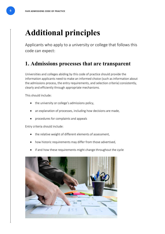# <span id="page-6-0"></span>**Additional principles**

Applicants who apply to a university or college that follows this code can expect:

# **1. Admissions processes that are transparent**

Universities and colleges abiding by this code of practice should provide the information applicants need to make an informed choice (such as information about the admissions process, the entry requirements, and selection criteria) consistently, clearly and efficiently through appropriate mechanisms.

This should include:

- the university or college's admissions policy,
- an explanation of processes, including how decisions are made,
- procedures for complaints and appeals

Entry criteria should include:

- the relative weight of different elements of assessment,
- how historic requirements may differ from those advertised,
- if and how these requirements might change throughout the cycle

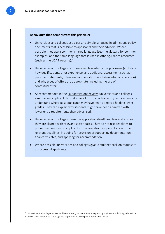#### **Behaviours that demonstrate this principle:**

- Universities and colleges use clear and simple language in admissions policy documents that is accessible to applicants and their advisers. Where possible, they use a common shared language (see the [glossary](#page-13-0) for common examples) and the same language that is used in other guidance resources (such as the UCAS website)[.4](#page-7-0)
- Universities and colleges can clearly explain admissions processes (including how qualifications, prior experience, and additional assessment such as personal statements, interviews and auditions are taken into consideration) and why types of offers are appropriate (including the use of contextual offers).
- As recommended in the [Fair admissions](https://www.universitiesuk.ac.uk/what-we-do/policy-and-research/publications/fair-admissions-review) review, universities and colleges aim to allow applicants to make use of historic, actual entry requirements to understand where past applicants may have been admitted holding lower grades. They can explain why students might have been admitted with lower entry requirements than advertised.
- Universities and colleges make the application deadlines clear and ensure they are aligned with relevant sector dates. They do not use deadlines to put undue pressure on applicants. They are also transparent about other relevant deadlines, including for provision of supporting documentation, final certificates, and applying for accommodation.
- <span id="page-7-0"></span>• Where possible, universities and colleges give useful feedback on request to unsuccessful applicants.

 $\overline{\phantom{a}}$  , which is the contract of the contract of  $\overline{\phantom{a}}$ 

<sup>4</sup> Universities and colleges in Scotland have already moved towards expressing their outward-facing admissions materials in standardised language and applicant-focussed presentational materials.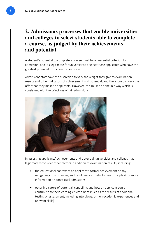# **2. Admissions processes that enable universities and colleges to select students able to complete a course, as judged by their achievements and potential**

A student's potential to complete a course must be an essential criterion for admission, and it's legitimate for universities to select those applicants who have the greatest potential to succeed on a course.

Admissions staff have the discretion to vary the weight they give to examination results and other indicators of achievement and potential, and therefore can vary the offer that they make to applicants. However, this must be done in a way which is consistent with the principles of fair admissions.



In assessing applicants' achievements and potential, universities and colleges may legitimately consider other factors in addition to examination results, including:

- the educational context of an applicant's formal achievement or any mitigating circumstances, such as illness or disability [\(see principle 4](#page-11-0) for more information on contextual admissions)
- other indicators of potential, capability, and how an applicant could contribute to their learning environment (such as the results of additional testing or assessment, including interviews, or non-academic experiences and relevant skills)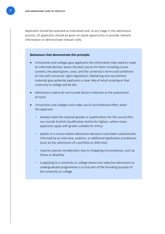Applicants should be assessed as individuals and, at any stage in the admissions process, all applicants should be given an equal opportunity to provide relevant information or demonstrate relevant skills.

- Universities and colleges give applicants the information they need to make an informed decision about the best course for them including course content, the award given, costs, and the university's terms and conditions (in line with consumer rights legislation). Marketing and recruitment materials give potential applicants a clear idea of what studying at that university or college will be like.
- Admissions criteria do not include factors irrelevant to the assessment of merit.
- Universities and colleges only make use of unconditional offers when the applicant:
	- already holds the required grades or qualifications for the course (this can include Scottish Qualification Authority Highers, where many applicants apply with grades suitable for entry)
	- applies to a course where admissions decisions have been substantively informed by an interview, audition, or additional application procedures (such as the submission of a portfolio or skills test)
	- requires special consideration due to mitigating circumstances, such as illness or disability
	- is applying to a university or college where non-selective admissions to undergraduate programmes is a core part of the founding purpose of the university or college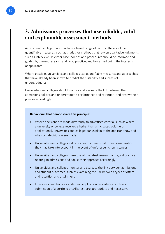## **3. Admissions processes that use reliable, valid and explainable assessment methods**

Assessment can legitimately include a broad range of factors. These include quantifiable measures, such as grades, or methods that rely on qualitative judgments, such as interviews. In either case, policies and procedures should be informed and guided by current research and good practice, and be carried out in the interests of applicants.

Where possible, universities and colleges use quantifiable measures and approaches that have already been shown to predict the suitability and success of undergraduates.

Universities and colleges should monitor and evaluate the link between their admissions policies and undergraduate performance and retention, and review their policies accordingly.

- Where decisions are made differently to advertised criteria (such as where a university or college receives a higher than anticipated volume of applications), universities and colleges can explain to the applicant how and why such decisions were made.
- Universities and colleges indicate ahead of time what other considerations they may take into account in the event of unforeseen circumstances.
- Universities and colleges make use of the latest research and good practice relating to admissions and adjust their approach accordingly.
- Universities and colleges monitor and evaluate the link between admissions and student outcomes, such as examining the link between types of offers and retention and attainment.
- Interviews, auditions, or additional application procedures (such as a submission of a portfolio or skills test) are appropriate and necessary.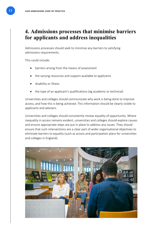# <span id="page-11-0"></span>**4. Admissions processes that minimise barriers for applicants and address inequalities**

Admissions processes should seek to minimise any barriers to satisfying admissions requirements.

This could include:

- barriers arising from the means of assessment
- the varying resources and support available to applicants
- disability or illness
- the type of an applicant's qualifications (eg academic or technical)

Universities and colleges should communicate why work is being done to improve access, and how this is being achieved. This information should be clearly visible to applicants and advisers.

Universities and colleges should consistently review equality of opportunity. Where inequality in access remains evident, universities and colleges should explore causes and ensure appropriate steps are put in place to address any issues. They should ensure that such interventions are a clear part of wider organisational objectives to eliminate barriers to equality (such as access and participation plans for universities and colleges in England).

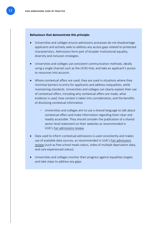- Universities and colleges ensure admissions processes do not disadvantage applicants and actively seek to address any access gaps related to protected characteristics. Admissions form part of broader institutional equality, diversity and inclusion strategies.
- Universities and colleges use consistent communication methods, ideally using a single channel such as the UCAS Hub, and take an applicant's access to resources into account.
- Where contextual offers are used, they are used in situations where they minimise barriers to entry for applicants and address inequalities, while maintaining standards. Universities and colleges can clearly explain their use of contextual offers, including why contextual offers are made, what evidence is used, how context is taken into consideration, and the benefits of disclosing contextual information.
	- Universities and colleges aim to use a shared language to talk about contextual offers and make information regarding them clear and readily accessible. They should consider the publication of a shared sector-level statement on their websites as recommended in UUK's [Fair admissions review.](https://www.universitiesuk.ac.uk/what-we-do/policy-and-research/publications/fair-admissions-review)
- Data used to inform contextual admissions is used consistently and makes use of available data sources, as recommended in UUK's Fair [admissions](https://www.universitiesuk.ac.uk/what-we-do/policy-and-research/publications/fair-admissions-review)  [review](https://www.universitiesuk.ac.uk/what-we-do/policy-and-research/publications/fair-admissions-review) (such as free school meals status, index of multiple deprivation data, and care experienced status).
- Universities and colleges monitor their progress against equalities targets and take steps to address any gaps.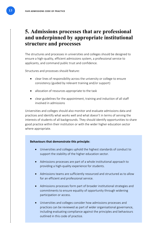## **5. Admissions processes that are professional and underpinned by appropriate institutional structure and processes**

The structures and processes in universities and colleges should be designed to ensure a high-quality, efficient admissions system, a professional service to applicants, and command public trust and confidence.

Structures and processes should feature:

- clear lines of responsibility across the university or college to ensure consistency (guided by relevant training and/or support)
- allocation of resources appropriate to the task
- clear guidelines for the appointment, training and induction of all staff involved in admissions

Universities and colleges should also monitor and evaluate admissions data and practices and identify what works well and what doesn't in terms of serving the interests of students of all backgrounds. They should identify opportunities to share good practice within their institution or with the wider higher education sector where appropriate.

- <span id="page-13-0"></span>• Universities and colleges uphold the highest standards of conduct to support the stability of the higher education sector.
- Admissions processes are part of a whole institutional approach to providing a high-quality experience for students.
- Admissions teams are sufficiently resourced and structured as to allow for an efficient and professional service.
- Admissions processes form part of broader institutional strategies and commitments to ensure equality of opportunity through widening participation or access.
- Universities and colleges consider how admissions processes and practices can be reviewed as part of wider organisational governance, including evaluating compliance against the principles and behaviours outlined in this code of practice.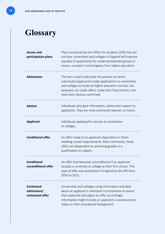# <span id="page-14-0"></span>**Glossary**

| <b>Access and</b><br>participation plans             | Plans monitored by the Office for Students (OfS) that set<br>out how universities and colleges in England will improve<br>equality of opportunity for underrepresented groups to<br>access, succeed in and progress from higher education.                               |
|------------------------------------------------------|--------------------------------------------------------------------------------------------------------------------------------------------------------------------------------------------------------------------------------------------------------------------------|
| <b>Admissions</b>                                    | The term used to describe the process by which<br>individuals (applicants) make applications to universities<br>and colleges to study on higher education courses, are<br>assessed, are made offers, make their final choices, and<br>have their choices confirmed.      |
| <b>Adviser</b>                                       | Individuals who give information, advice and support to<br>applicants. They are most commonly teachers or tutors.                                                                                                                                                        |
| <b>Applicant</b>                                     | Individuals applying for courses at universities<br>or colleges.                                                                                                                                                                                                         |
| <b>Conditional offer</b>                             | An offer made to an applicant dependent on them<br>meeting certain requirements. Most commonly, these<br>offers are dependent on achieving grades in a<br>qualification or subject.                                                                                      |
| <b>Conditional</b><br>unconditional offer            | An offer that becomes unconditional if an applicant<br>accepts a university or college as their firm choice. This<br>type of offer was prohibited in England by the OfS from<br>2020 to 2021.                                                                            |
| <b>Contextual</b><br>admissions/<br>contextual offer | Universities and colleges using information and data<br>about an applicant's individual circumstances to assess<br>their potential and adjust an offer accordingly.<br>Information might include an applicant's socioeconomic<br>status or their educational background. |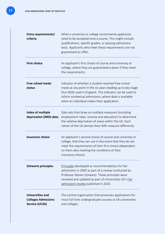| Entry requirements/<br>criteria                                                | What a university or college recommends applicants<br>need to be accepted onto a course. This might include<br>qualifications, specific grades, or passing admissions<br>tests. Applicants who meet these requirements are not<br>guaranteed an offer.                                  |
|--------------------------------------------------------------------------------|-----------------------------------------------------------------------------------------------------------------------------------------------------------------------------------------------------------------------------------------------------------------------------------------|
| <b>Firm choice</b>                                                             | An applicant's first choice of course and university or<br>college, where they are guaranteed a place if they meet<br>the requirements.                                                                                                                                                 |
| <b>Free school meals</b><br>status                                             | Indicator of whether a student received free school<br>meals at any point in the six years leading up to key stage<br>four (KS4) used in England. This indicator can be used to<br>inform contextual admissions, where data is available<br>when an individual makes their application. |
| Index of multiple<br>deprivation (IMD) data                                    | Data sets that draw on multiple measures (including<br>employment rates, income and education) to determine<br>the relative deprivation of areas within the UK. Each<br>nation of the UK derives their IMD measure differently.                                                         |
| <b>Insurance choice</b>                                                        | An applicant's second choice of course and university or<br>college, that they can use in the event that they do not<br>meet the requirements of their firm choice (dependent<br>on them also meeting the conditions of their<br>insurance choice).                                     |
| <b>Schwartz principles</b>                                                     | Principles developed as recommendations for fair<br>admissions in 2004 as part of a review conducted by<br>Professor Steven Schwartz. These principles were<br>revisited and updated as part of Universities UK's Fair<br>admissions review published in 2020.                          |
| <b>Universities and</b><br><b>Colleges Admissions</b><br><b>Service (UCAS)</b> | The central organisation that processes applications for<br>most full-time undergraduate courses at UK universities<br>and colleges.                                                                                                                                                    |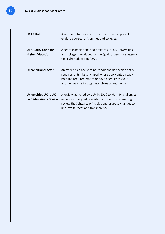| <b>UCAS Hub</b>                                               | A source of tools and information to help applicants<br>explore courses, universities and colleges.                                                                                                                         |
|---------------------------------------------------------------|-----------------------------------------------------------------------------------------------------------------------------------------------------------------------------------------------------------------------------|
| <b>UK Quality Code for</b><br><b>Higher Education</b>         | A set of expectations and practices for UK universities<br>and colleges developed by the Quality Assurance Agency<br>for Higher Education (QAA).                                                                            |
| <b>Unconditional offer</b>                                    | An offer of a place with no conditions (ie specific entry<br>requirements). Usually used where applicants already<br>hold the required grades or have been assessed in<br>another way (ie through interviews or auditions). |
| <b>Universities UK (UUK)</b><br><b>Fair admissions review</b> | A review launched by UUK in 2019 to identify challenges<br>in home undergraduate admissions and offer making,<br>review the Schwartz principles and propose changes to<br>improve fairness and transparency.                |